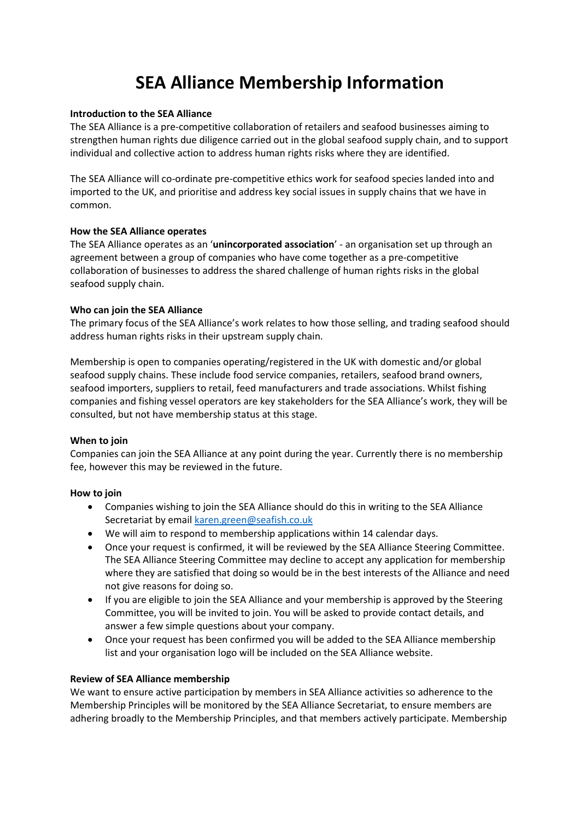# **SEA Alliance Membership Information**

#### **Introduction to the SEA Alliance**

The SEA Alliance is a pre-competitive collaboration of retailers and seafood businesses aiming to strengthen human rights due diligence carried out in the global seafood supply chain, and to support individual and collective action to address human rights risks where they are identified.

The SEA Alliance will co-ordinate pre-competitive ethics work for seafood species landed into and imported to the UK, and prioritise and address key social issues in supply chains that we have in common.

#### **How the SEA Alliance operates**

The SEA Alliance operates as an '**unincorporated association**' - an organisation set up through an agreement between a group of companies who have come together as a pre-competitive collaboration of businesses to address the shared challenge of human rights risks in the global seafood supply chain.

#### **Who can join the SEA Alliance**

The primary focus of the SEA Alliance's work relates to how those selling, and trading seafood should address human rights risks in their upstream supply chain.

Membership is open to companies operating/registered in the UK with domestic and/or global seafood supply chains. These include food service companies, retailers, seafood brand owners, seafood importers, suppliers to retail, feed manufacturers and trade associations. Whilst fishing companies and fishing vessel operators are key stakeholders for the SEA Alliance's work, they will be consulted, but not have membership status at this stage.

## **When to join**

Companies can join the SEA Alliance at any point during the year. Currently there is no membership fee, however this may be reviewed in the future.

## **How to join**

- Companies wishing to join the SEA Alliance should do this in writing to the SEA Alliance Secretariat by email [karen.green@seafish.co.uk](mailto:karen.green@seafish.co.uk)
- We will aim to respond to membership applications within 14 calendar days.
- Once your request is confirmed, it will be reviewed by the SEA Alliance Steering Committee. The SEA Alliance Steering Committee may decline to accept any application for membership where they are satisfied that doing so would be in the best interests of the Alliance and need not give reasons for doing so.
- If you are eligible to join the SEA Alliance and your membership is approved by the Steering Committee, you will be invited to join. You will be asked to provide contact details, and answer a few simple questions about your company.
- Once your request has been confirmed you will be added to the SEA Alliance membership list and your organisation logo will be included on the SEA Alliance website.

## **Review of SEA Alliance membership**

We want to ensure active participation by members in SEA Alliance activities so adherence to the Membership Principles will be monitored by the SEA Alliance Secretariat, to ensure members are adhering broadly to the Membership Principles, and that members actively participate. Membership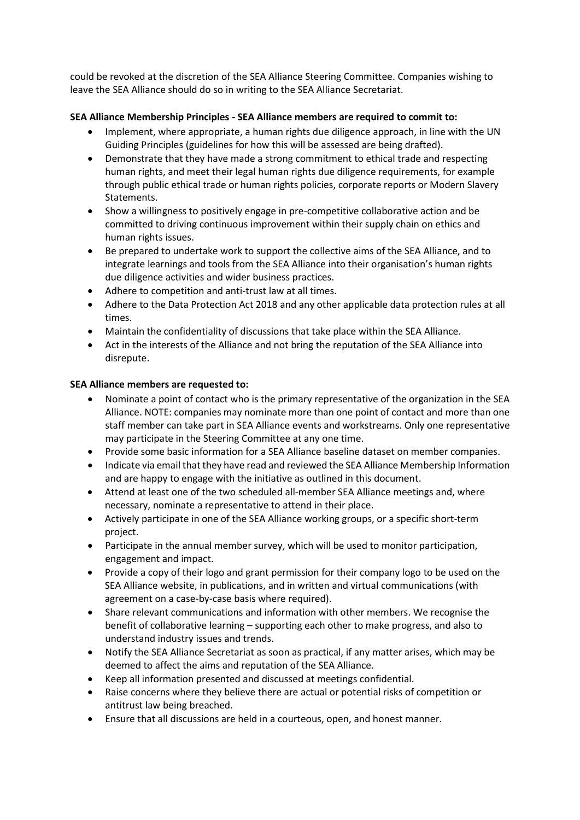could be revoked at the discretion of the SEA Alliance Steering Committee. Companies wishing to leave the SEA Alliance should do so in writing to the SEA Alliance Secretariat.

## **SEA Alliance Membership Principles - SEA Alliance members are required to commit to:**

- Implement, where appropriate, a human rights due diligence approach, in line with the UN Guiding Principles (guidelines for how this will be assessed are being drafted).
- Demonstrate that they have made a strong commitment to ethical trade and respecting human rights, and meet their legal human rights due diligence requirements, for example through public ethical trade or human rights policies, corporate reports or Modern Slavery Statements.
- Show a willingness to positively engage in pre-competitive collaborative action and be committed to driving continuous improvement within their supply chain on ethics and human rights issues.
- Be prepared to undertake work to support the collective aims of the SEA Alliance, and to integrate learnings and tools from the SEA Alliance into their organisation's human rights due diligence activities and wider business practices.
- Adhere to competition and anti-trust law at all times.
- Adhere to the Data Protection Act 2018 and any other applicable data protection rules at all times.
- Maintain the confidentiality of discussions that take place within the SEA Alliance.
- Act in the interests of the Alliance and not bring the reputation of the SEA Alliance into disrepute.

## **SEA Alliance members are requested to:**

- Nominate a point of contact who is the primary representative of the organization in the SEA Alliance. NOTE: companies may nominate more than one point of contact and more than one staff member can take part in SEA Alliance events and workstreams. Only one representative may participate in the Steering Committee at any one time.
- Provide some basic information for a SEA Alliance baseline dataset on member companies.
- Indicate via email that they have read and reviewed the SEA Alliance Membership Information and are happy to engage with the initiative as outlined in this document.
- Attend at least one of the two scheduled all-member SEA Alliance meetings and, where necessary, nominate a representative to attend in their place.
- Actively participate in one of the SEA Alliance working groups, or a specific short-term project.
- Participate in the annual member survey, which will be used to monitor participation, engagement and impact.
- Provide a copy of their logo and grant permission for their company logo to be used on the SEA Alliance website, in publications, and in written and virtual communications (with agreement on a case-by-case basis where required).
- Share relevant communications and information with other members. We recognise the benefit of collaborative learning – supporting each other to make progress, and also to understand industry issues and trends.
- Notify the SEA Alliance Secretariat as soon as practical, if any matter arises, which may be deemed to affect the aims and reputation of the SEA Alliance.
- Keep all information presented and discussed at meetings confidential.
- Raise concerns where they believe there are actual or potential risks of competition or antitrust law being breached.
- Ensure that all discussions are held in a courteous, open, and honest manner.